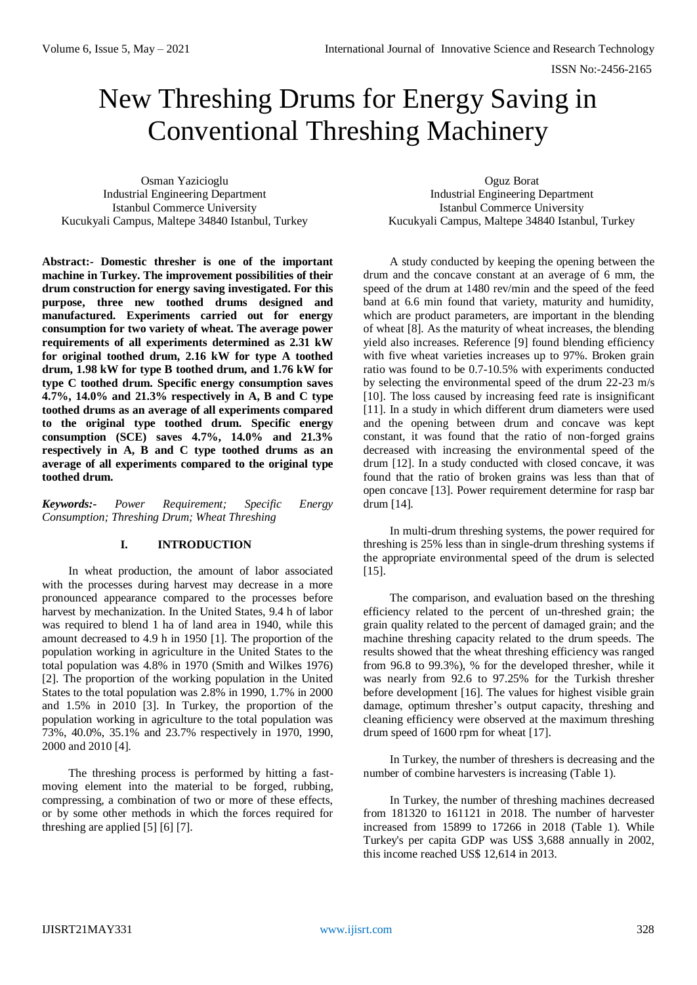# New Threshing Drums for Energy Saving in Conventional Threshing Machinery

Osman Yazicioglu Industrial Engineering Department Istanbul Commerce University Kucukyali Campus, Maltepe 34840 Istanbul, Turkey

Oguz Borat Industrial Engineering Department Istanbul Commerce University Kucukyali Campus, Maltepe 34840 Istanbul, Turkey

**Abstract:- Domestic thresher is one of the important machine in Turkey. The improvement possibilities of their drum construction for energy saving investigated. For this purpose, three new toothed drums designed and manufactured. Experiments carried out for energy consumption for two variety of wheat. The average power requirements of all experiments determined as 2.31 kW for original toothed drum, 2.16 kW for type A toothed drum, 1.98 kW for type B toothed drum, and 1.76 kW for type C toothed drum. Specific energy consumption saves 4.7%, 14.0% and 21.3% respectively in A, B and C type toothed drums as an average of all experiments compared to the original type toothed drum. Specific energy consumption (SCE) saves 4.7%, 14.0% and 21.3% respectively in A, B and C type toothed drums as an average of all experiments compared to the original type toothed drum.**

*Keywords:- Power Requirement; Specific Energy Consumption; Threshing Drum; Wheat Threshing*

# **I. INTRODUCTION**

In wheat production, the amount of labor associated with the processes during harvest may decrease in a more pronounced appearance compared to the processes before harvest by mechanization. In the United States, 9.4 h of labor was required to blend 1 ha of land area in 1940, while this amount decreased to 4.9 h in 1950 [1]. The proportion of the population working in agriculture in the United States to the total population was 4.8% in 1970 (Smith and Wilkes 1976) [2]. The proportion of the working population in the United States to the total population was 2.8% in 1990, 1.7% in 2000 and 1.5% in 2010 [3]. In Turkey, the proportion of the population working in agriculture to the total population was 73%, 40.0%, 35.1% and 23.7% respectively in 1970, 1990, 2000 and 2010 [4].

The threshing process is performed by hitting a fastmoving element into the material to be forged, rubbing, compressing, a combination of two or more of these effects, or by some other methods in which the forces required for threshing are applied [5] [6] [7].

A study conducted by keeping the opening between the drum and the concave constant at an average of 6 mm, the speed of the drum at 1480 rev/min and the speed of the feed band at 6.6 min found that variety, maturity and humidity, which are product parameters, are important in the blending of wheat [8]. As the maturity of wheat increases, the blending yield also increases. Reference [9] found blending efficiency with five wheat varieties increases up to 97%. Broken grain ratio was found to be 0.7-10.5% with experiments conducted by selecting the environmental speed of the drum 22-23 m/s [10]. The loss caused by increasing feed rate is insignificant [11]. In a study in which different drum diameters were used and the opening between drum and concave was kept constant, it was found that the ratio of non-forged grains decreased with increasing the environmental speed of the drum [12]. In a study conducted with closed concave, it was found that the ratio of broken grains was less than that of open concave [13]. Power requirement determine for rasp bar drum [14].

In multi-drum threshing systems, the power required for threshing is 25% less than in single-drum threshing systems if the appropriate environmental speed of the drum is selected [15].

The comparison, and evaluation based on the threshing efficiency related to the percent of un-threshed grain; the grain quality related to the percent of damaged grain; and the machine threshing capacity related to the drum speeds. The results showed that the wheat threshing efficiency was ranged from 96.8 to 99.3%), % for the developed thresher, while it was nearly from 92.6 to 97.25% for the Turkish thresher before development [16]. The values for highest visible grain damage, optimum thresher's output capacity, threshing and cleaning efficiency were observed at the maximum threshing drum speed of 1600 rpm for wheat [17].

In Turkey, the number of threshers is decreasing and the number of combine harvesters is increasing (Table 1).

In Turkey, the number of threshing machines decreased from 181320 to 161121 in 2018. The number of harvester increased from 15899 to 17266 in 2018 (Table 1). While Turkey's per capita GDP was US\$ 3,688 annually in 2002, this income reached US\$ 12,614 in 2013.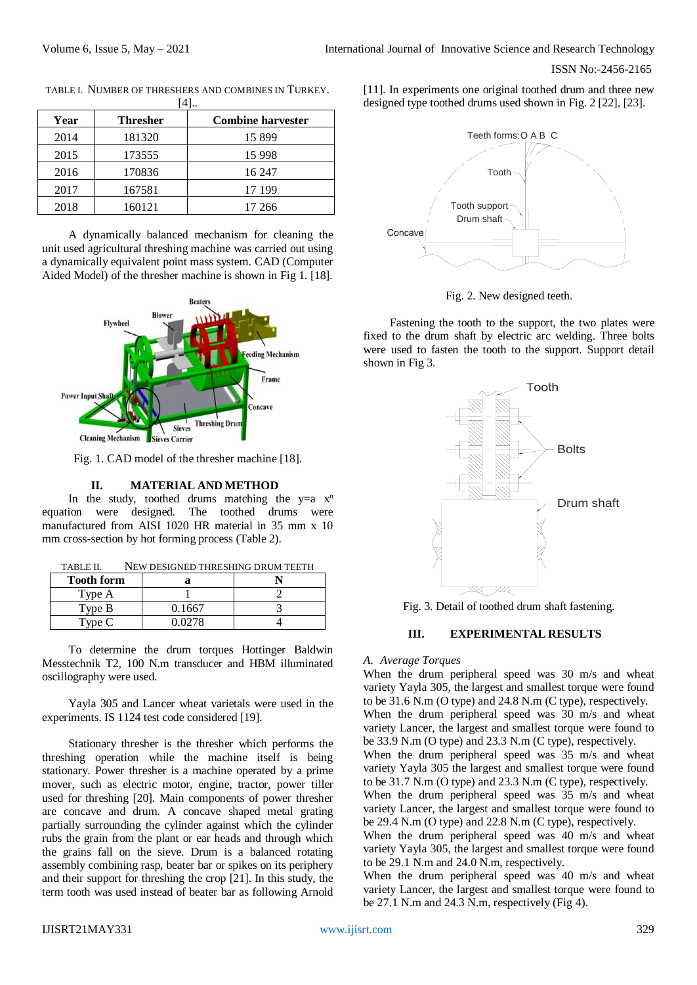| 14 I |                 |                          |  |  |
|------|-----------------|--------------------------|--|--|
| Year | <b>Thresher</b> | <b>Combine harvester</b> |  |  |
| 2014 | 181320          | 15899                    |  |  |
| 2015 | 173555          | 15 9 98                  |  |  |
| 2016 | 170836          | 16 247                   |  |  |
| 2017 | 167581          | 17 199                   |  |  |
| 2018 | 160121          | 17 266                   |  |  |

TABLE I. NUMBER OF THRESHERS AND COMBINES IN TURKEY.  $F$ .47

A dynamically balanced mechanism for cleaning the unit used agricultural threshing machine was carried out using a dynamically equivalent point mass system. CAD (Computer Aided Model) of the thresher machine is shown in Fig 1. [18].



Fig. 1. CAD model of the thresher machine [18].

#### **II. MATERIAL AND METHOD**

In the study, toothed drums matching the  $y=a x^n$ equation were designed. The toothed drums were manufactured from AISI 1020 HR material in 35 mm x 10 mm cross-section by hot forming process (Table 2).

| TABLE II. | NEW DESIGNED THRESHING DRUM TEETH |
|-----------|-----------------------------------|
|-----------|-----------------------------------|

| <b>Tooth form</b> |        |  |
|-------------------|--------|--|
| Type A            |        |  |
| Type B            | 0.1667 |  |
| Type C            | 0 0278 |  |

To determine the drum torques Hottinger Baldwin Messtechnik T2, 100 N.m transducer and HBM illuminated oscillography were used.

Yayla 305 and Lancer wheat varietals were used in the experiments. IS 1124 test code considered [19].

Stationary thresher is the thresher which performs the threshing operation while the machine itself is being stationary. Power thresher is a machine operated by a prime mover, such as electric motor, engine, tractor, power tiller used for threshing [20]. Main components of power thresher are concave and drum. A concave shaped metal grating partially surrounding the cylinder against which the cylinder rubs the grain from the plant or ear heads and through which the grains fall on the sieve. Drum is a balanced rotating assembly combining rasp, beater bar or spikes on its periphery and their support for threshing the crop [21]. In this study, the term tooth was used instead of beater bar as following Arnold

[11]. In experiments one original toothed drum and three new designed type toothed drums used shown in Fig. 2 [22], [23].



Fig. 2. New designed teeth.

Fastening the tooth to the support, the two plates were fixed to the drum shaft by electric arc welding. Three bolts were used to fasten the tooth to the support. Support detail shown in Fig 3.



Fig. 3. Detail of toothed drum shaft fastening.

#### **III. EXPERIMENTAL RESULTS**

#### *A. Average Torques*

When the drum peripheral speed was 30 m/s and wheat variety Yayla 305, the largest and smallest torque were found to be 31.6 N.m (O type) and 24.8 N.m (C type), respectively. When the drum peripheral speed was 30 m/s and wheat variety Lancer, the largest and smallest torque were found to be 33.9 N.m (O type) and 23.3 N.m (C type), respectively. When the drum peripheral speed was 35 m/s and wheat variety Yayla 305 the largest and smallest torque were found to be 31.7 N.m (O type) and 23.3 N.m (C type), respectively. When the drum peripheral speed was 35 m/s and wheat variety Lancer, the largest and smallest torque were found to be 29.4 N.m (O type) and 22.8 N.m (C type), respectively. When the drum peripheral speed was 40 m/s and wheat

variety Yayla 305, the largest and smallest torque were found to be 29.1 N.m and 24.0 N.m, respectively.

When the drum peripheral speed was 40 m/s and wheat variety Lancer, the largest and smallest torque were found to be 27.1 N.m and 24.3 N.m, respectively (Fig 4).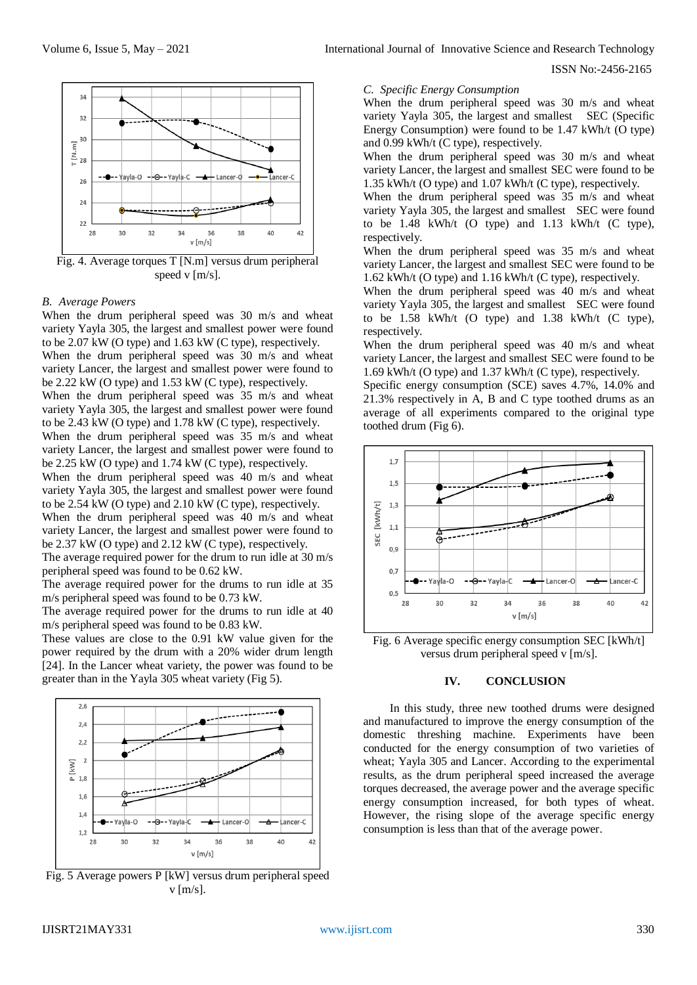

Fig. 4. Average torques T [N.m] versus drum peripheral speed v [m/s].

#### *B. Average Powers*

When the drum peripheral speed was 30 m/s and wheat variety Yayla 305, the largest and smallest power were found to be 2.07 kW (O type) and 1.63 kW (C type), respectively. When the drum peripheral speed was 30 m/s and wheat variety Lancer, the largest and smallest power were found to be 2.22 kW (O type) and 1.53 kW (C type), respectively.

When the drum peripheral speed was 35 m/s and wheat variety Yayla 305, the largest and smallest power were found to be 2.43 kW (O type) and 1.78 kW (C type), respectively. When the drum peripheral speed was 35 m/s and wheat

variety Lancer, the largest and smallest power were found to be 2.25 kW (O type) and 1.74 kW (C type), respectively.

When the drum peripheral speed was 40 m/s and wheat variety Yayla 305, the largest and smallest power were found to be 2.54 kW (O type) and 2.10 kW (C type), respectively.

When the drum peripheral speed was 40 m/s and wheat variety Lancer, the largest and smallest power were found to be 2.37 kW (O type) and 2.12 kW (C type), respectively.

The average required power for the drum to run idle at 30 m/s peripheral speed was found to be 0.62 kW.

The average required power for the drums to run idle at 35 m/s peripheral speed was found to be 0.73 kW.

The average required power for the drums to run idle at 40 m/s peripheral speed was found to be 0.83 kW.

These values are close to the 0.91 kW value given for the power required by the drum with a 20% wider drum length [24]. In the Lancer wheat variety, the power was found to be greater than in the Yayla 305 wheat variety (Fig 5).



Fig. 5 Average powers P [kW] versus drum peripheral speed  $v$  [m/s].

## *C. Specific Energy Consumption*

When the drum peripheral speed was 30 m/s and wheat variety Yayla 305, the largest and smallest SEC (Specific Energy Consumption) were found to be 1.47 kWh/t (O type) and 0.99 kWh/t (C type), respectively.

When the drum peripheral speed was 30 m/s and wheat variety Lancer, the largest and smallest SEC were found to be 1.35 kWh/t (O type) and 1.07 kWh/t (C type), respectively.

When the drum peripheral speed was 35 m/s and wheat variety Yayla 305, the largest and smallest SEC were found to be 1.48 kWh/t (O type) and 1.13 kWh/t (C type), respectively.

When the drum peripheral speed was 35 m/s and wheat variety Lancer, the largest and smallest SEC were found to be 1.62 kWh/t (O type) and 1.16 kWh/t (C type), respectively.

When the drum peripheral speed was 40 m/s and wheat variety Yayla 305, the largest and smallest SEC were found to be 1.58 kWh/t (O type) and 1.38 kWh/t (C type), respectively.

When the drum peripheral speed was 40 m/s and wheat variety Lancer, the largest and smallest SEC were found to be 1.69 kWh/t (O type) and 1.37 kWh/t (C type), respectively.

Specific energy consumption (SCE) saves 4.7%, 14.0% and 21.3% respectively in A, B and C type toothed drums as an average of all experiments compared to the original type toothed drum (Fig 6).



Fig. 6 Average specific energy consumption SEC [kWh/t] versus drum peripheral speed v [m/s].

#### **IV. CONCLUSION**

In this study, three new toothed drums were designed and manufactured to improve the energy consumption of the domestic threshing machine. Experiments have been conducted for the energy consumption of two varieties of wheat; Yayla 305 and Lancer. According to the experimental results, as the drum peripheral speed increased the average torques decreased, the average power and the average specific energy consumption increased, for both types of wheat. However, the rising slope of the average specific energy consumption is less than that of the average power.